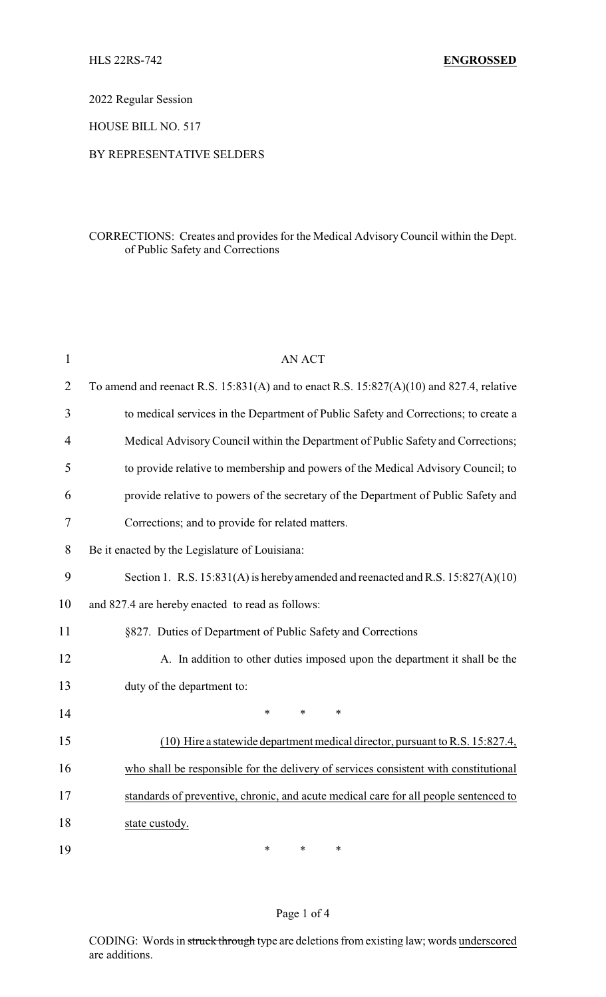2022 Regular Session

HOUSE BILL NO. 517

#### BY REPRESENTATIVE SELDERS

### CORRECTIONS: Creates and provides for the Medical AdvisoryCouncil within the Dept. of Public Safety and Corrections

| $\mathbf{1}$   | <b>AN ACT</b>                                                                               |
|----------------|---------------------------------------------------------------------------------------------|
| $\overline{2}$ | To amend and reenact R.S. $15:831(A)$ and to enact R.S. $15:827(A)(10)$ and 827.4, relative |
| 3              | to medical services in the Department of Public Safety and Corrections; to create a         |
| $\overline{4}$ | Medical Advisory Council within the Department of Public Safety and Corrections;            |
| 5              | to provide relative to membership and powers of the Medical Advisory Council; to            |
| 6              | provide relative to powers of the secretary of the Department of Public Safety and          |
| 7              | Corrections; and to provide for related matters.                                            |
| 8              | Be it enacted by the Legislature of Louisiana:                                              |
| 9              | Section 1. R.S. 15:831(A) is hereby amended and reenacted and R.S. 15:827(A)(10)            |
| 10             | and 827.4 are hereby enacted to read as follows:                                            |
| 11             | §827. Duties of Department of Public Safety and Corrections                                 |
| 12             | A. In addition to other duties imposed upon the department it shall be the                  |
| 13             | duty of the department to:                                                                  |
| 14             | $\ast$<br>$\ast$<br>*                                                                       |
| 15             | (10) Hire a statewide department medical director, pursuant to R.S. 15:827.4,               |
| 16             | who shall be responsible for the delivery of services consistent with constitutional        |
| 17             | standards of preventive, chronic, and acute medical care for all people sentenced to        |
| 18             | state custody.                                                                              |
| 19             | $\ast$<br>$\ast$<br>$\ast$                                                                  |

#### Page 1 of 4

CODING: Words in struck through type are deletions from existing law; words underscored are additions.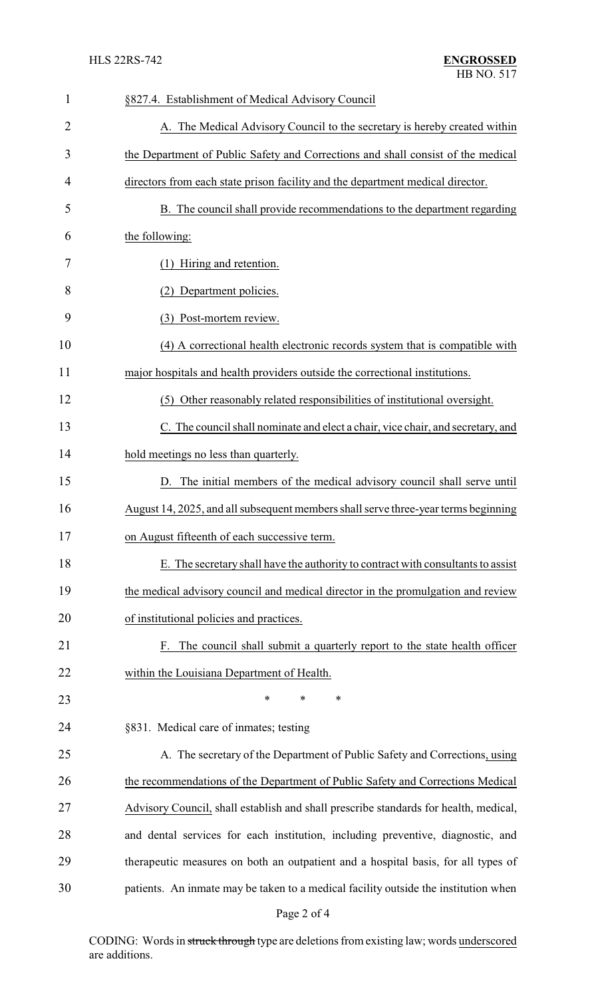| $\mathbf{1}$   | §827.4. Establishment of Medical Advisory Council                                    |
|----------------|--------------------------------------------------------------------------------------|
| $\overline{2}$ | A. The Medical Advisory Council to the secretary is hereby created within            |
| 3              | the Department of Public Safety and Corrections and shall consist of the medical     |
| 4              | directors from each state prison facility and the department medical director.       |
| 5              | B. The council shall provide recommendations to the department regarding             |
| 6              | the following:                                                                       |
| 7              | (1) Hiring and retention.                                                            |
| 8              | (2) Department policies.                                                             |
| 9              | (3) Post-mortem review.                                                              |
| 10             | (4) A correctional health electronic records system that is compatible with          |
| 11             | major hospitals and health providers outside the correctional institutions.          |
| 12             | (5) Other reasonably related responsibilities of institutional oversight.            |
| 13             | C. The council shall nominate and elect a chair, vice chair, and secretary, and      |
| 14             | hold meetings no less than quarterly.                                                |
| 15             | D. The initial members of the medical advisory council shall serve until             |
| 16             | August 14, 2025, and all subsequent members shall serve three-year terms beginning   |
| 17             | on August fifteenth of each successive term.                                         |
| 18             | E. The secretary shall have the authority to contract with consultants to assist     |
| 19             | the medical advisory council and medical director in the promulgation and review     |
| 20             | of institutional policies and practices.                                             |
| 21             | The council shall submit a quarterly report to the state health officer<br>F.        |
| 22             | within the Louisiana Department of Health.                                           |
| 23             | $\ast$<br>*<br>∗                                                                     |
| 24             | §831. Medical care of inmates; testing                                               |
| 25             | A. The secretary of the Department of Public Safety and Corrections, using           |
| 26             | the recommendations of the Department of Public Safety and Corrections Medical       |
| 27             | Advisory Council, shall establish and shall prescribe standards for health, medical, |
| 28             | and dental services for each institution, including preventive, diagnostic, and      |
| 29             | therapeutic measures on both an outpatient and a hospital basis, for all types of    |
| 30             | patients. An inmate may be taken to a medical facility outside the institution when  |
|                | Page 2 of 4                                                                          |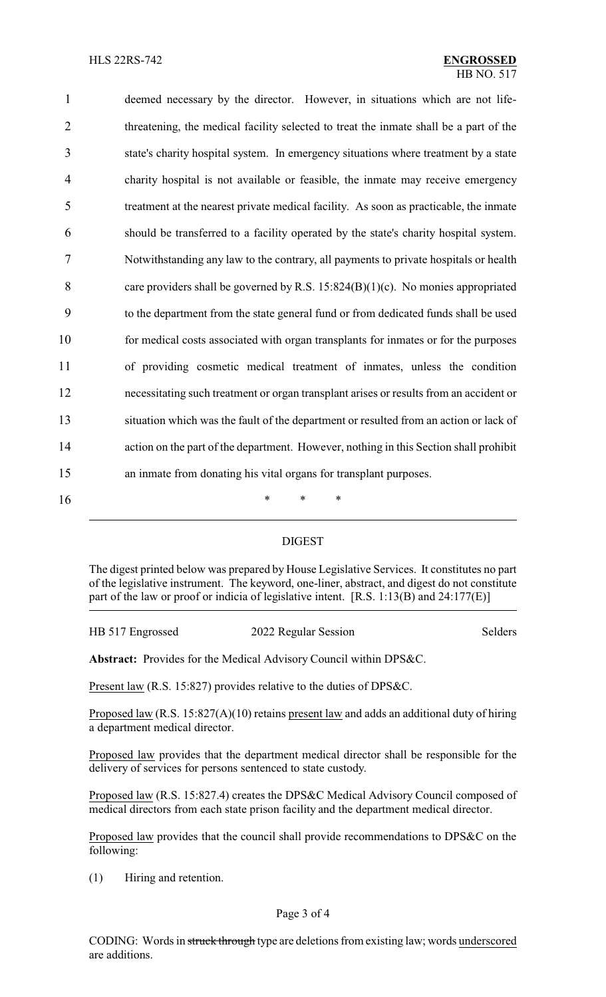| 1              | deemed necessary by the director. However, in situations which are not life-           |
|----------------|----------------------------------------------------------------------------------------|
| $\overline{2}$ | threatening, the medical facility selected to treat the inmate shall be a part of the  |
| 3              | state's charity hospital system. In emergency situations where treatment by a state    |
| 4              | charity hospital is not available or feasible, the inmate may receive emergency        |
| 5              | treatment at the nearest private medical facility. As soon as practicable, the inmate  |
| 6              | should be transferred to a facility operated by the state's charity hospital system.   |
| 7              | Notwithstanding any law to the contrary, all payments to private hospitals or health   |
| 8              | care providers shall be governed by R.S. $15:824(B)(1)(c)$ . No monies appropriated    |
| 9              | to the department from the state general fund or from dedicated funds shall be used    |
| 10             | for medical costs associated with organ transplants for inmates or for the purposes    |
| 11             | of providing cosmetic medical treatment of inmates, unless the condition               |
| 12             | necessitating such treatment or organ transplant arises or results from an accident or |
| 13             | situation which was the fault of the department or resulted from an action or lack of  |
| 14             | action on the part of the department. However, nothing in this Section shall prohibit  |
| 15             | an inmate from donating his vital organs for transplant purposes.                      |
| 16             | $\ast$<br>∗<br>∗                                                                       |

## DIGEST

The digest printed below was prepared by House Legislative Services. It constitutes no part of the legislative instrument. The keyword, one-liner, abstract, and digest do not constitute part of the law or proof or indicia of legislative intent. [R.S. 1:13(B) and 24:177(E)]

# HB 517 Engrossed 2022 Regular Session Selders

**Abstract:** Provides for the Medical Advisory Council within DPS&C.

Present law (R.S. 15:827) provides relative to the duties of DPS&C.

Proposed law (R.S. 15:827(A)(10) retains present law and adds an additional duty of hiring a department medical director.

Proposed law provides that the department medical director shall be responsible for the delivery of services for persons sentenced to state custody.

Proposed law (R.S. 15:827.4) creates the DPS&C Medical Advisory Council composed of medical directors from each state prison facility and the department medical director.

Proposed law provides that the council shall provide recommendations to DPS&C on the following:

(1) Hiring and retention.